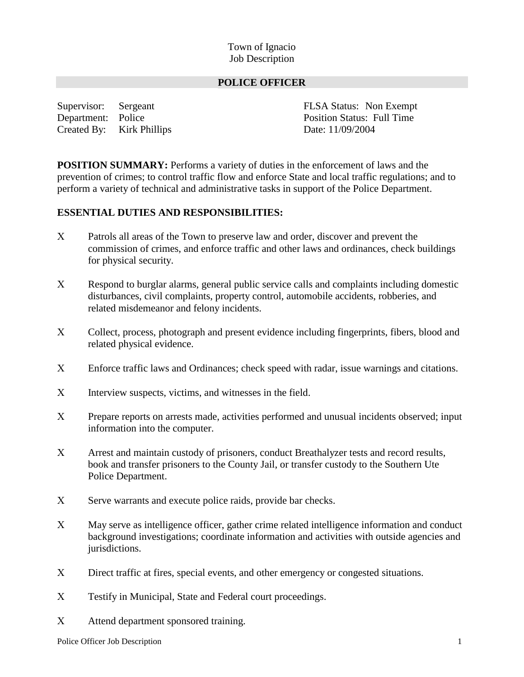### **POLICE OFFICER**

Department: Police Position Status: Full Time Created By: Kirk Phillips Date: 11/09/2004

Supervisor: Sergeant FLSA Status: Non Exempt

**POSITION SUMMARY:** Performs a variety of duties in the enforcement of laws and the prevention of crimes; to control traffic flow and enforce State and local traffic regulations; and to perform a variety of technical and administrative tasks in support of the Police Department.

### **ESSENTIAL DUTIES AND RESPONSIBILITIES:**

- Patrols all areas of the Town to preserve law and order, discover and prevent the commission of crimes, and enforce traffic and other laws and ordinances, check buildings for physical security.
- Respond to burglar alarms, general public service calls and complaints including domestic disturbances, civil complaints, property control, automobile accidents, robberies, and related misdemeanor and felony incidents.
- Collect, process, photograph and present evidence including fingerprints, fibers, blood and related physical evidence.
- Enforce traffic laws and Ordinances; check speed with radar, issue warnings and citations.
- Interview suspects, victims, and witnesses in the field.
- Prepare reports on arrests made, activities performed and unusual incidents observed; input information into the computer.
- Arrest and maintain custody of prisoners, conduct Breathalyzer tests and record results, book and transfer prisoners to the County Jail, or transfer custody to the Southern Ute Police Department.
- Serve warrants and execute police raids, provide bar checks.
- May serve as intelligence officer, gather crime related intelligence information and conduct background investigations; coordinate information and activities with outside agencies and jurisdictions.
- Direct traffic at fires, special events, and other emergency or congested situations.
- Testify in Municipal, State and Federal court proceedings.
- Attend department sponsored training.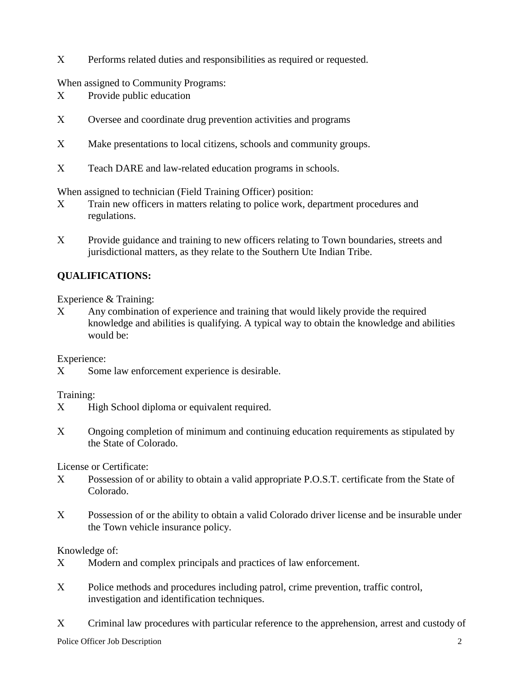Performs related duties and responsibilities as required or requested.

When assigned to Community Programs:

- Provide public education
- X Oversee and coordinate drug prevention activities and programs
- X Make presentations to local citizens, schools and community groups.
- X Teach DARE and law-related education programs in schools.

When assigned to technician (Field Training Officer) position:

- Train new officers in matters relating to police work, department procedures and regulations.
- Provide guidance and training to new officers relating to Town boundaries, streets and jurisdictional matters, as they relate to the Southern Ute Indian Tribe.

# **QUALIFICATIONS:**

Experience & Training:

 Any combination of experience and training that would likely provide the required knowledge and abilities is qualifying. A typical way to obtain the knowledge and abilities would be:

Experience:

Some law enforcement experience is desirable.

Training:

- X High School diploma or equivalent required.
- Ongoing completion of minimum and continuing education requirements as stipulated by the State of Colorado.

License or Certificate:

- Possession of or ability to obtain a valid appropriate P.O.S.T. certificate from the State of Colorado.
- Possession of or the ability to obtain a valid Colorado driver license and be insurable under the Town vehicle insurance policy.

Knowledge of:

- X Modern and complex principals and practices of law enforcement.
- Police methods and procedures including patrol, crime prevention, traffic control, investigation and identification techniques.
- Criminal law procedures with particular reference to the apprehension, arrest and custody of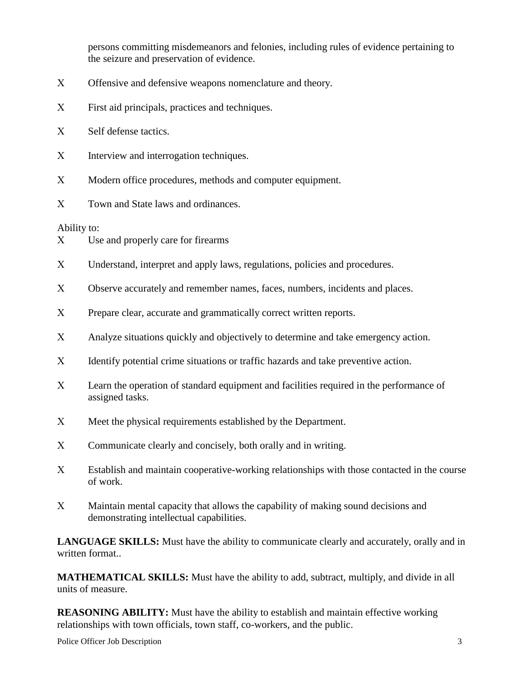persons committing misdemeanors and felonies, including rules of evidence pertaining to the seizure and preservation of evidence.

- X Offensive and defensive weapons nomenclature and theory.
- First aid principals, practices and techniques.
- X Self defense tactics.
- Interview and interrogation techniques.
- X Modern office procedures, methods and computer equipment.
- X Town and State laws and ordinances.

Ability to:

- Use and properly care for firearms
- Understand, interpret and apply laws, regulations, policies and procedures.
- Observe accurately and remember names, faces, numbers, incidents and places.
- Prepare clear, accurate and grammatically correct written reports.
- Analyze situations quickly and objectively to determine and take emergency action.
- Identify potential crime situations or traffic hazards and take preventive action.
- Learn the operation of standard equipment and facilities required in the performance of assigned tasks.
- X Meet the physical requirements established by the Department.
- Communicate clearly and concisely, both orally and in writing.
- Establish and maintain cooperative-working relationships with those contacted in the course of work.
- Maintain mental capacity that allows the capability of making sound decisions and demonstrating intellectual capabilities.

**LANGUAGE SKILLS:** Must have the ability to communicate clearly and accurately, orally and in written format..

**MATHEMATICAL SKILLS:** Must have the ability to add, subtract, multiply, and divide in all units of measure.

**REASONING ABILITY:** Must have the ability to establish and maintain effective working relationships with town officials, town staff, co-workers, and the public.